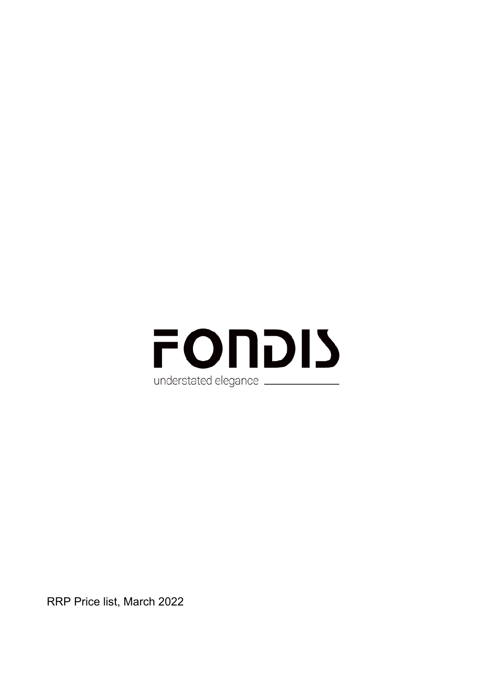

RRP Price list, March 2022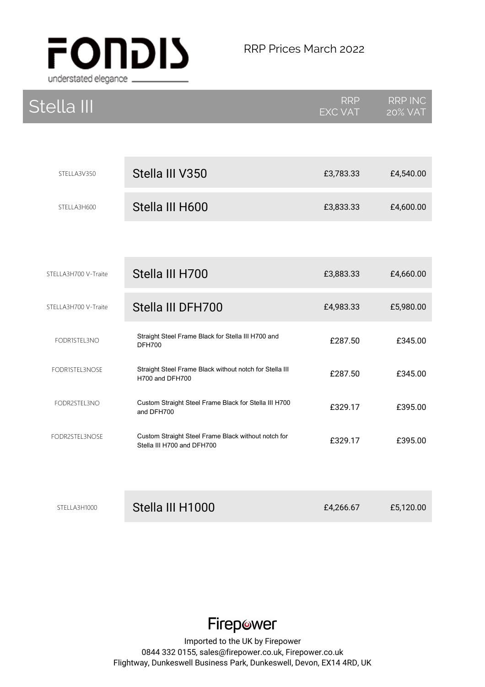

| Stella III           |                                                                                   | <b>RRP</b><br><b>EXC VAT</b> | <b>RRP INC</b><br><b>20% VAT</b> |
|----------------------|-----------------------------------------------------------------------------------|------------------------------|----------------------------------|
|                      |                                                                                   |                              |                                  |
| STELLA3V350          | Stella III V350                                                                   | £3,783.33                    | £4,540.00                        |
| STELLA3H600          | Stella III H600                                                                   | £3,833.33                    | £4,600.00                        |
|                      |                                                                                   |                              |                                  |
| STELLA3H700 V-Traite | Stella III H700                                                                   | £3,883.33                    | £4,660.00                        |
| STELLA3H700 V-Traite | Stella III DFH700                                                                 | £4,983.33                    | £5,980.00                        |
| FODR1STEL3NO         | Straight Steel Frame Black for Stella III H700 and<br><b>DFH700</b>               | £287.50                      | £345.00                          |
| FODR1STEL3NOSE       | Straight Steel Frame Black without notch for Stella III<br>H700 and DFH700        | £287.50                      | £345.00                          |
| FODR2STEL3NO         | Custom Straight Steel Frame Black for Stella III H700<br>and DFH700               | £329.17                      | £395.00                          |
| FODR2STEL3NOSE       | Custom Straight Steel Frame Black without notch for<br>Stella III H700 and DFH700 | £329.17                      | £395.00                          |
|                      |                                                                                   |                              |                                  |
| STELLA3H1000         | Stella III H1000                                                                  | £4,266.67                    | £5,120.00                        |

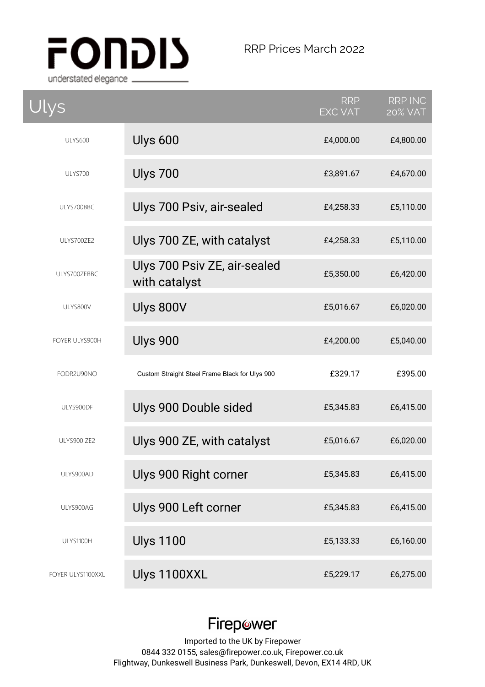

| Ulys              |                                                | <b>RRP</b><br><b>EXC VAT</b> | <b>RRP INC</b><br><b>20% VAT</b> |
|-------------------|------------------------------------------------|------------------------------|----------------------------------|
| <b>ULYS600</b>    | Ulys 600                                       | £4,000.00                    | £4,800.00                        |
| ULYS700           | <b>Ulys 700</b>                                | £3,891.67                    | £4,670.00                        |
| ULYS700BBC        | Ulys 700 Psiv, air-sealed                      | £4,258.33                    | £5,110.00                        |
| ULYS700ZE2        | Ulys 700 ZE, with catalyst                     | £4,258.33                    | £5,110.00                        |
| ULYS700ZEBBC      | Ulys 700 Psiv ZE, air-sealed<br>with catalyst  | £5,350.00                    | £6,420.00                        |
| ULYS800V          | Ulys 800V                                      | £5,016.67                    | £6,020.00                        |
| FOYER ULYS900H    | <b>Ulys 900</b>                                | £4,200.00                    | £5,040.00                        |
| FODR2U90NO        | Custom Straight Steel Frame Black for Ulys 900 | £329.17                      | £395.00                          |
| ULYS900DF         | Ulys 900 Double sided                          | £5,345.83                    | £6,415.00                        |
| ULYS900 ZE2       | Ulys 900 ZE, with catalyst                     | £5,016.67                    | £6,020.00                        |
| ULYS900AD         | Ulys 900 Right corner                          | £5,345.83                    | £6,415.00                        |
| ULYS900AG         | Ulys 900 Left corner                           | £5,345.83                    | £6,415.00                        |
| ULYS1100H         | <b>Ulys 1100</b>                               | £5,133.33                    | £6,160.00                        |
| FOYER ULYS1100XXL | Ulys 1100XXL                                   | £5,229.17                    | £6,275.00                        |

# Firepower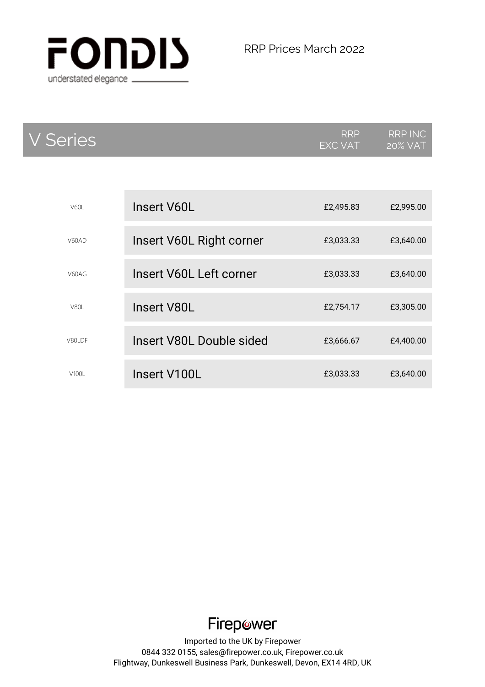

| <b>V</b> Series |                          | RRP<br>EXC VAT | <b>RRP INC</b><br><b>20% VAT</b> |
|-----------------|--------------------------|----------------|----------------------------------|
|                 |                          |                |                                  |
| V60I            | Insert V60L              | £2,495.83      | £2,995.00                        |
| V60AD           | Insert V60L Right corner | £3,033.33      | £3,640.00                        |
| V60AG           | Insert V60L Left corner  | £3,033.33      | £3,640.00                        |
| V80I            | <b>Insert V80L</b>       | £2,754.17      | £3,305.00                        |
| <b>V80LDF</b>   | Insert V80L Double sided | £3,666.67      | £4,400.00                        |
| V100L           | Insert V100L             | £3,033.33      | £3,640.00                        |

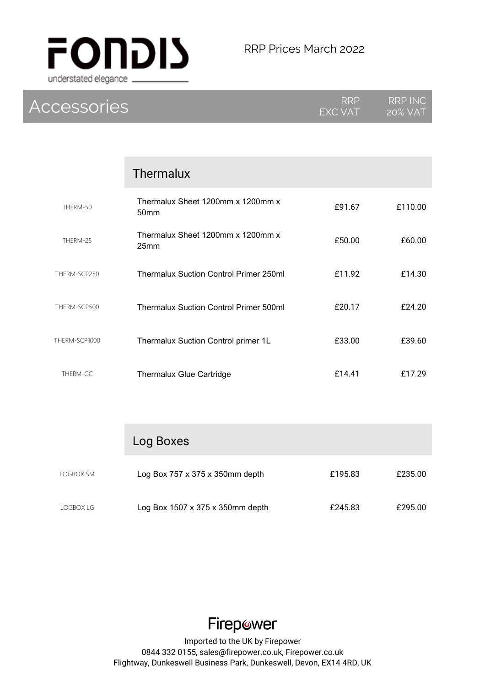

| <b>Accessories</b> |                                               | RRP<br>EXC VAT | <b>RRP INC</b><br><b>20% VAT</b> |
|--------------------|-----------------------------------------------|----------------|----------------------------------|
|                    |                                               |                |                                  |
|                    | Thermalux                                     |                |                                  |
| THERM-50           | Thermalux Sheet 1200mm x 1200mm x<br>50mm     | £91.67         | £110.00                          |
| THERM-25           | Thermalux Sheet 1200mm x 1200mm x<br>25mm     | £50.00         | £60.00                           |
| THERM-SCP250       | <b>Thermalux Suction Control Primer 250ml</b> | £11.92         | £14.30                           |
| THERM-SCP500       | <b>Thermalux Suction Control Primer 500ml</b> | £20.17         | £24.20                           |
| THERM-SCP1000      | Thermalux Suction Control primer 1L           | £33.00         | £39.60                           |
| THERM-GC           | Thermalux Glue Cartridge                      | £14.41         | £17.29                           |
|                    |                                               |                |                                  |
|                    | Log Boxes                                     |                |                                  |

| LOGBOX SM | Log Box $757 \times 375 \times 350$ mm depth | £195.83 | £235.00 |
|-----------|----------------------------------------------|---------|---------|
| LOGBOX LG | Log Box 1507 x 375 x 350mm depth             | £245.83 | £295.00 |

Firepower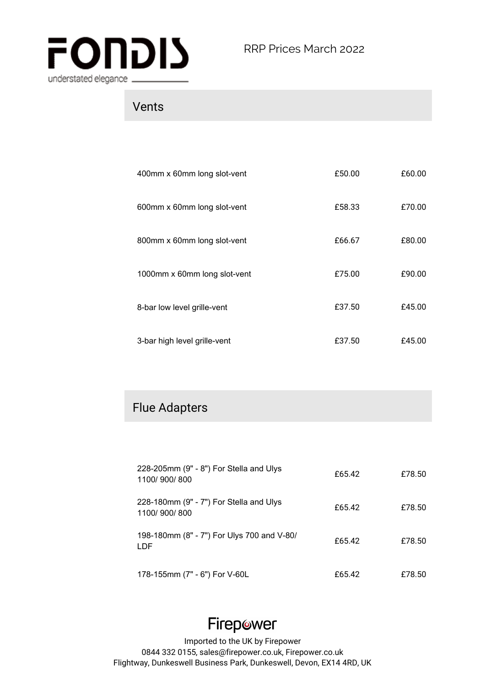

## Vents

| 400mm x 60mm long slot-vent  | £50.00 | £60.00 |
|------------------------------|--------|--------|
| 600mm x 60mm long slot-vent  | £58.33 | £70.00 |
| 800mm x 60mm long slot-vent  | £66.67 | £80.00 |
| 1000mm x 60mm long slot-vent | £75.00 | £90.00 |
| 8-bar low level grille-vent  | £37.50 | £45.00 |
| 3-bar high level grille-vent | £37.50 | £45.00 |

#### Flue Adapters

| 228-205mm (9" - 8") For Stella and Ulys<br>1100/900/800  | £65.42 | £78.50 |
|----------------------------------------------------------|--------|--------|
| 228-180mm (9" - 7") For Stella and Ulys<br>1100/900/800  | £65.42 | £78.50 |
| 198-180mm (8" - 7") For Ulys 700 and V-80/<br><b>LDF</b> | £65.42 | £78.50 |
| 178-155mm (7" - 6") For V-60L                            | £65.42 | £78.50 |

## Firepower